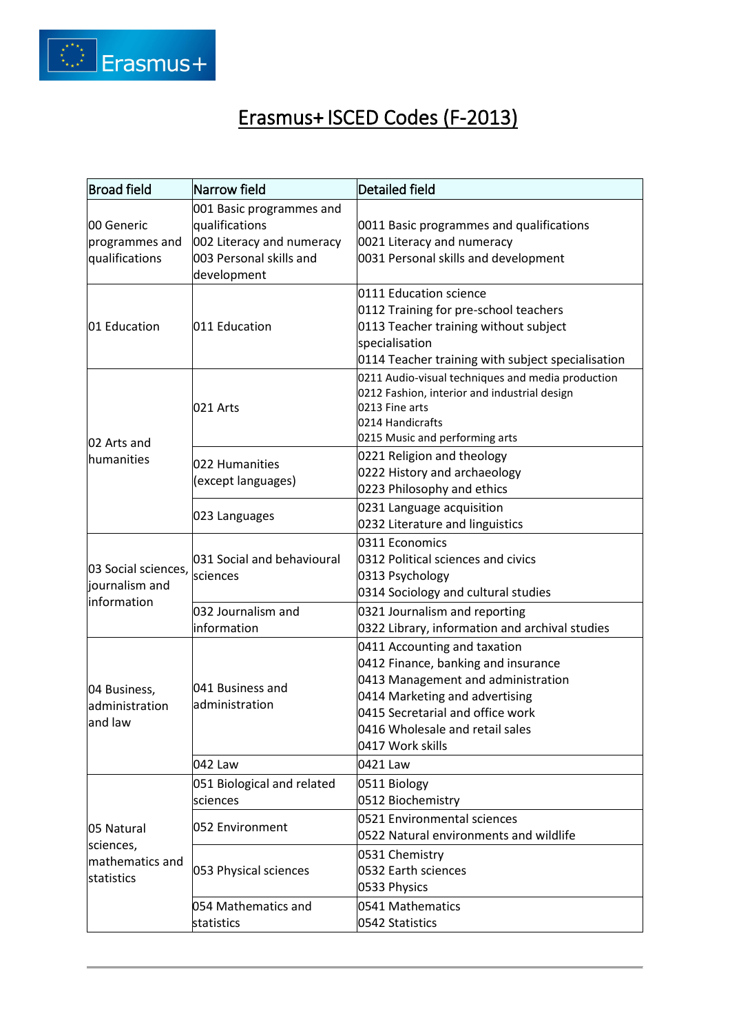

## Erasmus+ ISCED Codes (F-2013)

| <b>Broad field</b>                                       | Narrow field                                                                                                      | Detailed field                                                                                                                                                                                                                         |
|----------------------------------------------------------|-------------------------------------------------------------------------------------------------------------------|----------------------------------------------------------------------------------------------------------------------------------------------------------------------------------------------------------------------------------------|
| 00 Generic<br>programmes and<br>qualifications           | 001 Basic programmes and<br>qualifications<br>002 Literacy and numeracy<br>003 Personal skills and<br>development | 0011 Basic programmes and qualifications<br>0021 Literacy and numeracy<br>0031 Personal skills and development                                                                                                                         |
| 01 Education                                             | 011 Education                                                                                                     | 0111 Education science<br>0112 Training for pre-school teachers<br>0113 Teacher training without subject<br>specialisation<br>0114 Teacher training with subject specialisation                                                        |
| 02 Arts and<br>humanities                                | 021 Arts                                                                                                          | 0211 Audio-visual techniques and media production<br>0212 Fashion, interior and industrial design<br>0213 Fine arts<br>0214 Handicrafts<br>0215 Music and performing arts                                                              |
|                                                          | 022 Humanities<br>(except languages)                                                                              | 0221 Religion and theology<br>0222 History and archaeology<br>0223 Philosophy and ethics                                                                                                                                               |
|                                                          | 023 Languages                                                                                                     | 0231 Language acquisition<br>0232 Literature and linguistics                                                                                                                                                                           |
| 03 Social sciences,<br>journalism and<br>information     | 031 Social and behavioural<br>sciences                                                                            | 0311 Economics<br>0312 Political sciences and civics<br>0313 Psychology<br>0314 Sociology and cultural studies                                                                                                                         |
|                                                          | 032 Journalism and<br>information                                                                                 | 0321 Journalism and reporting<br>0322 Library, information and archival studies                                                                                                                                                        |
| 04 Business,<br>administration<br>and law                | 041 Business and<br>administration                                                                                | 0411 Accounting and taxation<br>0412 Finance, banking and insurance<br>0413 Management and administration<br>0414 Marketing and advertising<br>0415 Secretarial and office work<br>0416 Wholesale and retail sales<br>0417 Work skills |
|                                                          | 042 Law                                                                                                           | 0421 Law                                                                                                                                                                                                                               |
| 05 Natural<br>sciences,<br>mathematics and<br>statistics | 051 Biological and related<br>sciences                                                                            | 0511 Biology<br>0512 Biochemistry                                                                                                                                                                                                      |
|                                                          | 052 Environment                                                                                                   | 0521 Environmental sciences<br>0522 Natural environments and wildlife                                                                                                                                                                  |
|                                                          | 053 Physical sciences                                                                                             | 0531 Chemistry<br>0532 Earth sciences<br>0533 Physics                                                                                                                                                                                  |
|                                                          | 054 Mathematics and<br>statistics                                                                                 | 0541 Mathematics<br>0542 Statistics                                                                                                                                                                                                    |